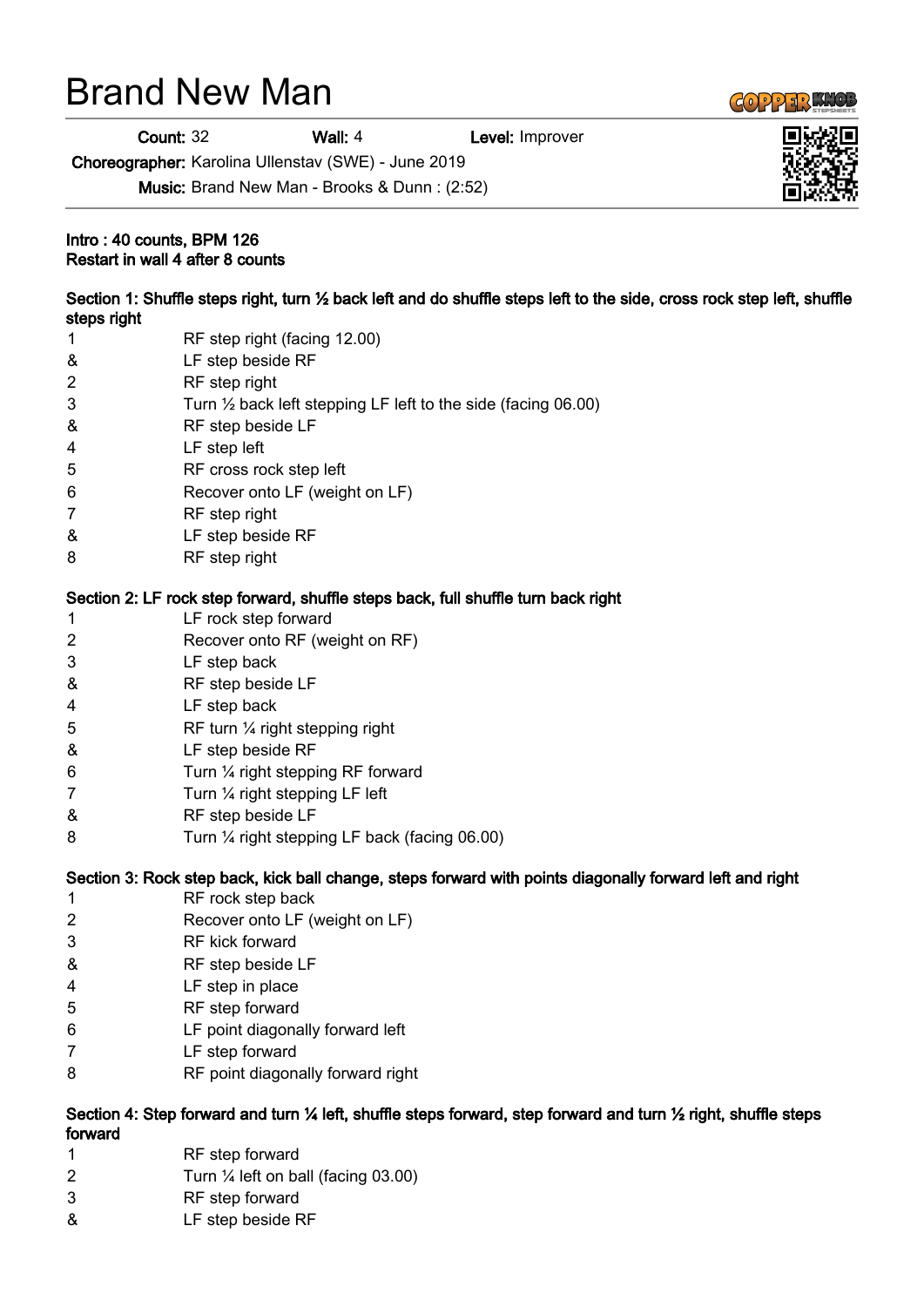## Brand New Man

Count: 32 Wall: 4 Level: Improver

Choreographer: Karolina Ullenstav (SWE) - June 2019

Music: Brand New Man - Brooks & Dunn : (2:52)

## Intro : 40 counts, BPM 126 Restart in wall 4 after 8 counts

| Section 1: Shuffle steps right, turn 1/2 back left and do shuffle steps left to the side, cross rock step left, shuffle<br>steps right          |                                                                          |
|-------------------------------------------------------------------------------------------------------------------------------------------------|--------------------------------------------------------------------------|
| 1                                                                                                                                               | RF step right (facing 12.00)                                             |
| &                                                                                                                                               | LF step beside RF                                                        |
| $\overline{2}$                                                                                                                                  | RF step right                                                            |
| 3                                                                                                                                               | Turn $\frac{1}{2}$ back left stepping LF left to the side (facing 06.00) |
| &                                                                                                                                               | RF step beside LF                                                        |
| 4                                                                                                                                               | LF step left                                                             |
| 5                                                                                                                                               | RF cross rock step left                                                  |
| 6                                                                                                                                               | Recover onto LF (weight on LF)                                           |
| 7                                                                                                                                               | RF step right                                                            |
| &                                                                                                                                               | LF step beside RF                                                        |
| 8                                                                                                                                               | RF step right                                                            |
| Section 2: LF rock step forward, shuffle steps back, full shuffle turn back right                                                               |                                                                          |
| 1                                                                                                                                               | LF rock step forward                                                     |
| 2                                                                                                                                               | Recover onto RF (weight on RF)                                           |
| 3                                                                                                                                               | LF step back                                                             |
| &                                                                                                                                               | RF step beside LF                                                        |
| 4                                                                                                                                               | LF step back                                                             |
| 5                                                                                                                                               | RF turn 1/4 right stepping right                                         |
| &                                                                                                                                               | LF step beside RF                                                        |
| 6                                                                                                                                               | Turn 1/4 right stepping RF forward                                       |
| 7                                                                                                                                               | Turn 1/4 right stepping LF left                                          |
| &                                                                                                                                               | RF step beside LF                                                        |
| 8                                                                                                                                               | Turn 1/4 right stepping LF back (facing 06.00)                           |
| Section 3: Rock step back, kick ball change, steps forward with points diagonally forward left and right                                        |                                                                          |
| 1                                                                                                                                               | RF rock step back                                                        |
| $\overline{2}$                                                                                                                                  | Recover onto LF (weight on LF)                                           |
| 3                                                                                                                                               | RF kick forward                                                          |
| &                                                                                                                                               | RF step beside LF                                                        |
| 4                                                                                                                                               | LF step in place                                                         |
| 5                                                                                                                                               | RF step forward                                                          |
| 6                                                                                                                                               | LF point diagonally forward left                                         |
| 7                                                                                                                                               | LF step forward                                                          |
| 8                                                                                                                                               | RF point diagonally forward right                                        |
| Section 4: Step forward and turn $\frac{1}{2}$ left, shuffle steps forward, step forward and turn $\frac{1}{2}$ right, shuffle steps<br>forward |                                                                          |
| 1                                                                                                                                               | RF step forward                                                          |

- 2 Turn ¼ left on ball (facing 03.00)
- 3 RF step forward
- & LF step beside RF